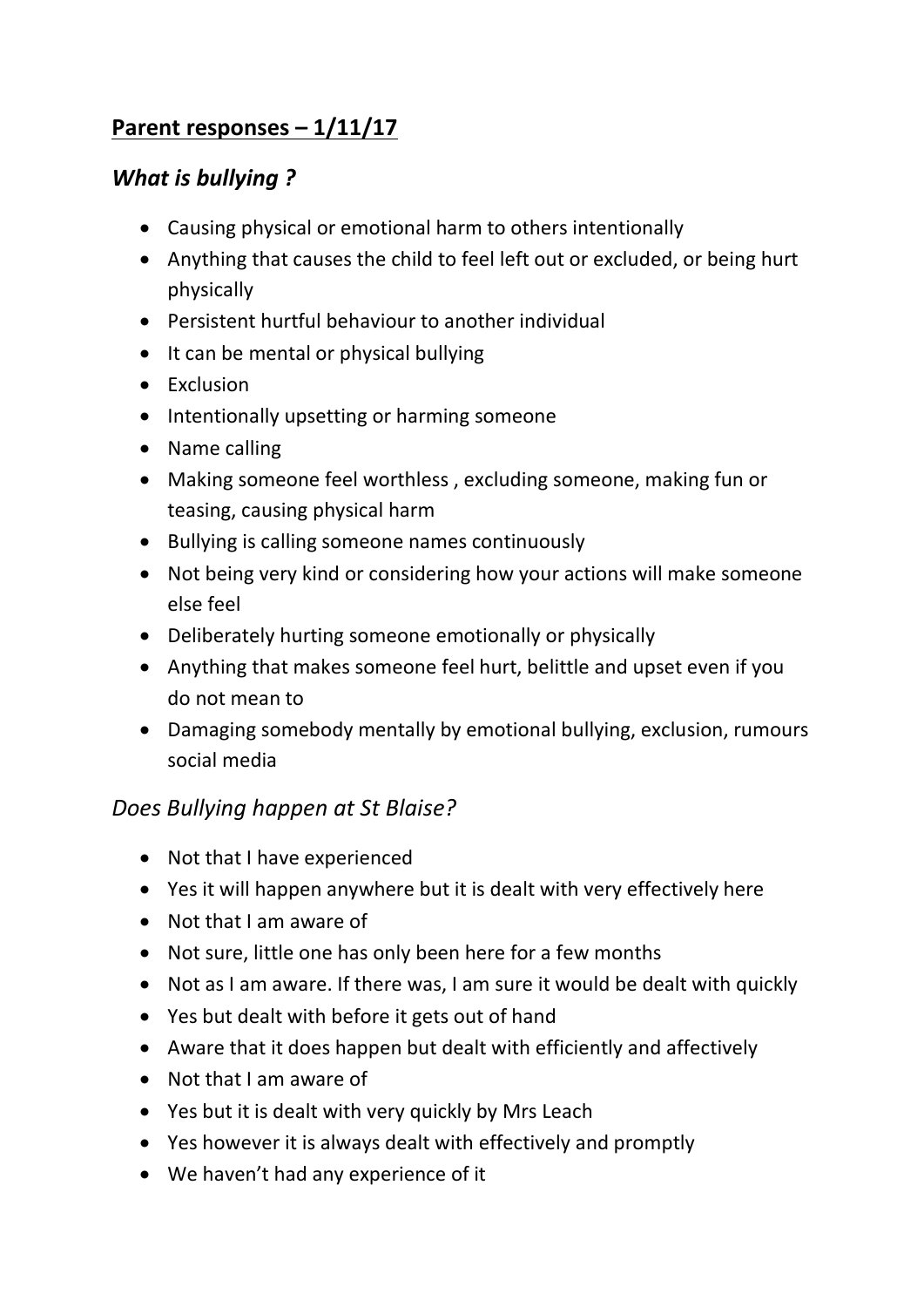## **Parent responses – 1/11/17**

## *What is bullying ?*

- Causing physical or emotional harm to others intentionally
- Anything that causes the child to feel left out or excluded, or being hurt physically
- Persistent hurtful behaviour to another individual
- It can be mental or physical bullying
- Exclusion
- Intentionally upsetting or harming someone
- Name calling
- Making someone feel worthless , excluding someone, making fun or teasing, causing physical harm
- Bullying is calling someone names continuously
- Not being very kind or considering how your actions will make someone else feel
- Deliberately hurting someone emotionally or physically
- Anything that makes someone feel hurt, belittle and upset even if you do not mean to
- Damaging somebody mentally by emotional bullying, exclusion, rumours social media

## *Does Bullying happen at St Blaise?*

- Not that I have experienced
- Yes it will happen anywhere but it is dealt with very effectively here
- Not that I am aware of
- Not sure, little one has only been here for a few months
- Not as I am aware. If there was, I am sure it would be dealt with quickly
- Yes but dealt with before it gets out of hand
- Aware that it does happen but dealt with efficiently and affectively
- Not that I am aware of
- Yes but it is dealt with very quickly by Mrs Leach
- Yes however it is always dealt with effectively and promptly
- We haven't had any experience of it